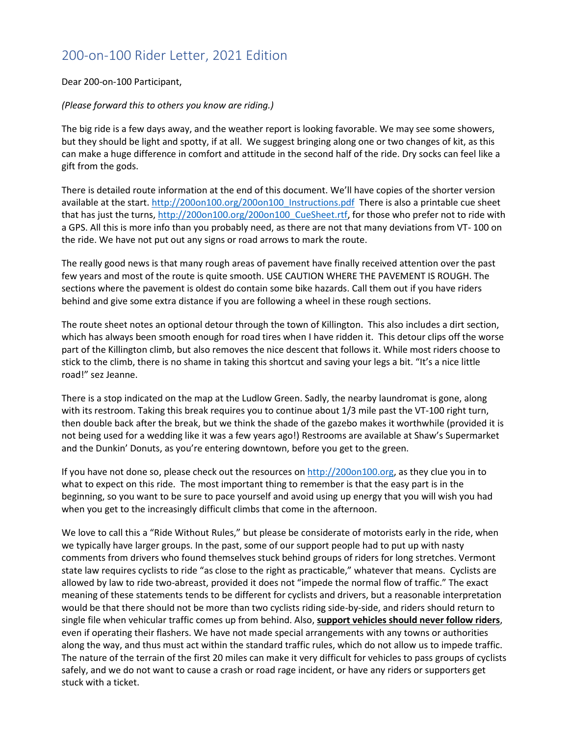### 200-on-100 Rider Letter, 2021 Edition

#### Dear 200-on-100 Participant,

#### *(Please forward this to others you know are riding.)*

The big ride is a few days away, and the weather report is looking favorable. We may see some showers, but they should be light and spotty, if at all. We suggest bringing along one or two changes of kit, as this can make a huge difference in comfort and attitude in the second half of the ride. Dry socks can feel like a gift from the gods.

There is detailed route information at the end of this document. We'll have copies of the shorter version available at the start. [http://200on100.org/200on100\\_Instructions.pdf](http://200on100.org/200on100_Instructions.pdf) There is also a printable cue sheet that has just the turns, [http://200on100.org/200on100\\_CueSheet.rtf,](http://200on100.org/200on100_CueSheet.rtf) for those who prefer not to ride with a GPS. All this is more info than you probably need, as there are not that many deviations from VT- 100 on the ride. We have not put out any signs or road arrows to mark the route.

The really good news is that many rough areas of pavement have finally received attention over the past few years and most of the route is quite smooth. USE CAUTION WHERE THE PAVEMENT IS ROUGH. The sections where the pavement is oldest do contain some bike hazards. Call them out if you have riders behind and give some extra distance if you are following a wheel in these rough sections.

The route sheet notes an optional detour through the town of Killington. This also includes a dirt section, which has always been smooth enough for road tires when I have ridden it. This detour clips off the worse part of the Killington climb, but also removes the nice descent that follows it. While most riders choose to stick to the climb, there is no shame in taking this shortcut and saving your legs a bit. "It's a nice little road!" sez Jeanne.

There is a stop indicated on the map at the Ludlow Green. Sadly, the nearby laundromat is gone, along with its restroom. Taking this break requires you to continue about 1/3 mile past the VT-100 right turn, then double back after the break, but we think the shade of the gazebo makes it worthwhile (provided it is not being used for a wedding like it was a few years ago!) Restrooms are available at Shaw's Supermarket and the Dunkin' Donuts, as you're entering downtown, before you get to the green.

If you have not done so, please check out the resources on [http://200on100.org,](http://200on100.org/) as they clue you in to what to expect on this ride. The most important thing to remember is that the easy part is in the beginning, so you want to be sure to pace yourself and avoid using up energy that you will wish you had when you get to the increasingly difficult climbs that come in the afternoon.

We love to call this a "Ride Without Rules," but please be considerate of motorists early in the ride, when we typically have larger groups. In the past, some of our support people had to put up with nasty comments from drivers who found themselves stuck behind groups of riders for long stretches. Vermont state law requires cyclists to ride "as close to the right as practicable," whatever that means. Cyclists are allowed by law to ride two-abreast, provided it does not "impede the normal flow of traffic." The exact meaning of these statements tends to be different for cyclists and drivers, but a reasonable interpretation would be that there should not be more than two cyclists riding side-by-side, and riders should return to single file when vehicular traffic comes up from behind. Also, **support vehicles should never follow riders**, even if operating their flashers. We have not made special arrangements with any towns or authorities along the way, and thus must act within the standard traffic rules, which do not allow us to impede traffic. The nature of the terrain of the first 20 miles can make it very difficult for vehicles to pass groups of cyclists safely, and we do not want to cause a crash or road rage incident, or have any riders or supporters get stuck with a ticket.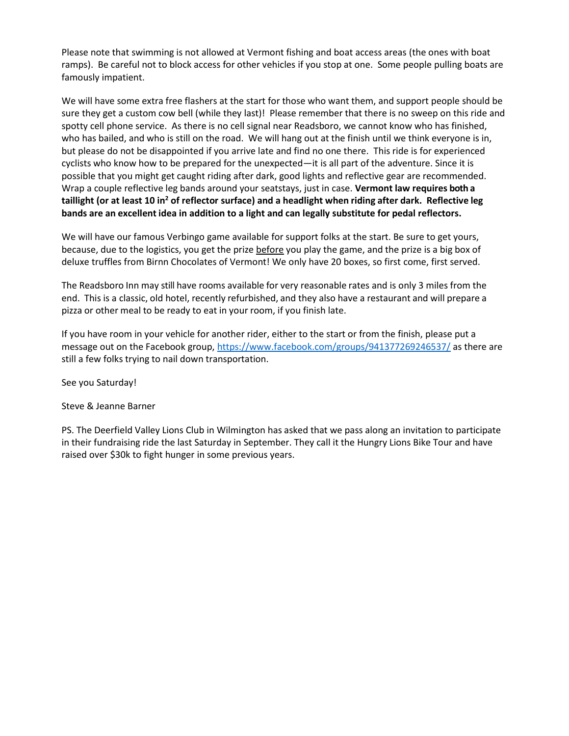Please note that swimming is not allowed at Vermont fishing and boat access areas (the ones with boat ramps). Be careful not to block access for other vehicles if you stop at one. Some people pulling boats are famously impatient.

We will have some extra free flashers at the start for those who want them, and support people should be sure they get a custom cow bell (while they last)! Please remember that there is no sweep on this ride and spotty cell phone service. As there is no cell signal near Readsboro, we cannot know who has finished, who has bailed, and who is still on the road. We will hang out at the finish until we think everyone is in, but please do not be disappointed if you arrive late and find no one there. This ride is for experienced cyclists who know how to be prepared for the unexpected—it is all part of the adventure. Since it is possible that you might get caught riding after dark, good lights and reflective gear are recommended. Wrap a couple reflective leg bands around your seatstays, just in case. **Vermont law requires both a taillight (or at least 10 in<sup>2</sup> of reflector surface) and a headlight when riding after dark. Reflective leg bands are an excellent idea in addition to a light and can legally substitute for pedal reflectors.**

We will have our famous Verbingo game available for support folks at the start. Be sure to get yours, because, due to the logistics, you get the prize before you play the game, and the prize is a big box of deluxe truffles from Birnn Chocolates of Vermont! We only have 20 boxes, so first come, first served.

The Readsboro Inn may still have rooms available for very reasonable rates and is only 3 miles from the end. This is a classic, old hotel, recently refurbished, and they also have a restaurant and will prepare a pizza or other meal to be ready to eat in your room, if you finish late.

If you have room in your vehicle for another rider, either to the start or from the finish, please put a message out on the Facebook group[, https://www.facebook.com/groups/941377269246537/](https://www.facebook.com/groups/941377269246537/) as there are still a few folks trying to nail down transportation.

See you Saturday!

Steve & Jeanne Barner

PS. The Deerfield Valley Lions Club in Wilmington has asked that we pass along an invitation to participate in their fundraising ride the last Saturday in September. They call it the Hungry Lions Bike Tour and have raised over \$30k to fight hunger in some previous years.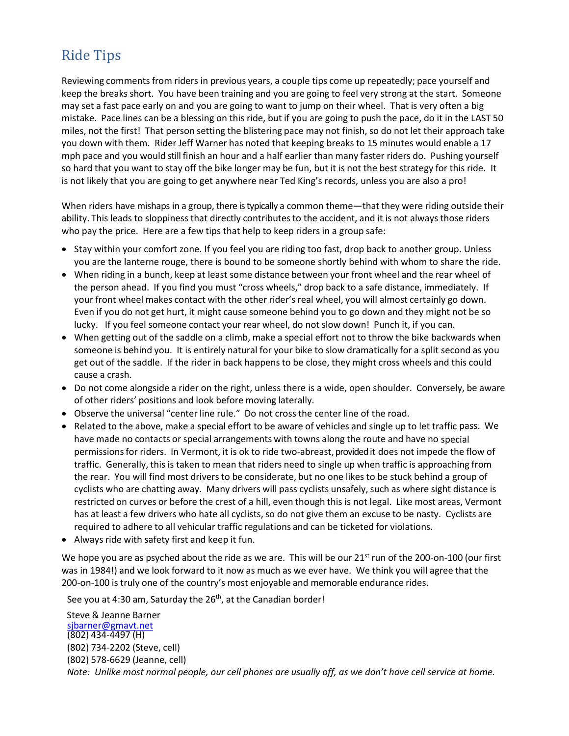# Ride Tips

Reviewing comments from riders in previous years, a couple tips come up repeatedly; pace yourself and keep the breaks short. You have been training and you are going to feel very strong at the start. Someone may set a fast pace early on and you are going to want to jump on their wheel. That is very often a big mistake. Pace lines can be a blessing on this ride, but if you are going to push the pace, do it in the LAST 50 miles, not the first! That person setting the blistering pace may not finish, so do not let their approach take you down with them. Rider Jeff Warner has noted that keeping breaks to 15 minutes would enable a 17 mph pace and you would still finish an hour and a half earlier than many faster riders do. Pushing yourself so hard that you want to stay off the bike longer may be fun, but it is not the best strategy for this ride. It is not likely that you are going to get anywhere near Ted King's records, unless you are also a pro!

When riders have mishaps in a group, there is typically a common theme—that they were riding outside their ability. This leads to sloppiness that directly contributes to the accident, and it is not always those riders who pay the price. Here are a few tips that help to keep riders in a group safe:

- Stay within your comfort zone. If you feel you are riding too fast, drop back to another group. Unless you are the lanterne rouge, there is bound to be someone shortly behind with whom to share the ride.
- When riding in a bunch, keep at least some distance between your front wheel and the rear wheel of the person ahead. If you find you must "cross wheels," drop back to a safe distance, immediately. If your front wheel makes contact with the other rider's real wheel, you will almost certainly go down. Even if you do not get hurt, it might cause someone behind you to go down and they might not be so lucky. If you feel someone contact your rear wheel, do not slow down! Punch it, if you can.
- When getting out of the saddle on a climb, make a special effort not to throw the bike backwards when someone is behind you. It is entirely natural for your bike to slow dramatically for a split second as you get out of the saddle. If the rider in back happensto be close, they might cross wheels and this could cause a crash.
- Do not come alongside a rider on the right, unless there is a wide, open shoulder. Conversely, be aware of other riders' positions and look before moving laterally.
- Observe the universal "center line rule." Do not cross the center line of the road.
- Related to the above, make a special effort to be aware of vehicles and single up to let traffic pass. We have made no contacts or special arrangements with towns along the route and have no special permissions for riders. In Vermont, it is ok to ride two-abreast, provided it does not impede the flow of traffic. Generally, this is taken to mean that riders need to single up when traffic is approaching from the rear. You will find most drivers to be considerate, but no one likes to be stuck behind a group of cyclists who are chatting away. Many drivers will pass cyclists unsafely, such as where sight distance is restricted on curves or before the crest of a hill, even though this is not legal. Like most areas, Vermont has at least a few drivers who hate all cyclists, so do not give them an excuse to be nasty. Cyclists are required to adhere to all vehicular traffic regulations and can be ticketed for violations.
- Always ride with safety first and keep it fun.

We hope you are as psyched about the ride as we are. This will be our 21<sup>st</sup> run of the 200-on-100 (our first was in 1984!) and we look forward to it now as much as we ever have. We think you will agree that the 200-on-100 is truly one of the country's most enjoyable and memorable endurance rides.

See you at 4:30 am, Saturday the 26<sup>th</sup>, at the Canadian border!

Steve & Jeanne Barner [sjbarner@gmavt.net](mailto:sjbarner@gmavt.net) (802) 434‐4497 (H) (802) 734‐2202 (Steve, cell) (802) 578‐6629 (Jeanne, cell) *Note: Unlike most normal people, our cell phones are usually off, as we don't have cell service at home.*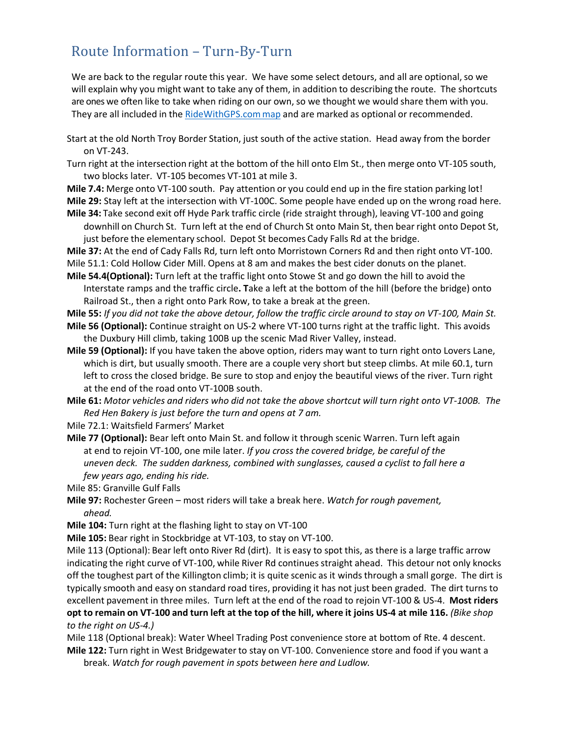## Route Information – Turn‐By‐Turn

We are back to the regular route this year. We have some select detours, and all are optional, so we will explain why you might want to take any of them, in addition to describing the route. The shortcuts are ones we often like to take when riding on our own, so we thought we would share them with you. They are all included in the [RideWithGPS.commap](https://ridewithgps.com/routes/14551362) and are marked as optional or recommended.

- Start at the old North Troy Border Station, just south of the active station. Head away from the border on VT‐243.
- Turn right at the intersection right at the bottom of the hill onto Elm St., then merge onto VT‐105 south, two blocks later. VT‐105 becomes VT‐101 at mile 3.

**Mile 7.4:** Merge onto VT‐100 south. Pay attention or you could end up in the fire station parking lot! **Mile 29:** Stay left at the intersection with VT-100C. Some people have ended up on the wrong road here. **Mile 34:** Take second exit off Hyde Park traffic circle (ride straight through), leaving VT‐100 and going

downhill on Church St. Turn left at the end of Church St onto Main St, then bear right onto Depot St, just before the elementary school. Depot St becomes Cady Falls Rd at the bridge.

**Mile 37:** At the end of Cady Falls Rd, turn left onto Morristown Corners Rd and then right onto VT-100. Mile 51.1: Cold Hollow Cider Mill. Opens at 8 am and makes the best cider donuts on the planet.

**Mile 54.4(Optional):** Turn left at the traffic light onto Stowe St and go down the hill to avoid the Interstate ramps and the traffic circle**. T**ake a left at the bottom of the hill (before the bridge) onto Railroad St., then a right onto Park Row, to take a break at the green.

**Mile 55:** *If you did not take the above detour, follow the traffic circle around to stay on VT-100, Main St.*

- **Mile 56 (Optional):** Continue straight on US-2 where VT-100 turns right at the traffic light. This avoids the Duxbury Hill climb, taking 100B up the scenic Mad River Valley, instead.
- **Mile 59 (Optional):** If you have taken the above option, riders may want to turn right onto Lovers Lane, which is dirt, but usually smooth. There are a couple very short but steep climbs. At mile 60.1, turn left to cross the closed bridge. Be sure to stop and enjoy the beautiful views of the river. Turn right at the end of the road onto VT-100B south.

**Mile 61:** *Motor vehicles and riders who did not take the above shortcut will turn right onto VT-100B. The Red Hen Bakery is just before the turn and opens at 7 am.*

- Mile 72.1: Waitsfield Farmers' Market
- **Mile 77 (Optional):** Bear left onto Main St. and follow it through scenic Warren. Turn left again at end to rejoin VT-100, one mile later. *If you cross the covered bridge, be careful of the uneven deck. The sudden darkness, combined with sunglasses, caused a cyclist to fall here a few years ago, ending his ride.*

Mile 85: Granville Gulf Falls

**Mile 97:** Rochester Green – most riders will take a break here. *Watch for rough pavement, ahead.*

**Mile 104:** Turn right at the flashing light to stay on VT-100

**Mile 105:** Bear right in Stockbridge at VT-103, to stay on VT-100.

Mile 113 (Optional): Bear left onto River Rd (dirt). It is easy to spot this, as there is a large traffic arrow indicating the right curve of VT-100, while River Rd continues straight ahead. This detour not only knocks off the toughest part of the Killington climb; it is quite scenic as it winds through a small gorge. The dirt is typically smooth and easy on standard road tires, providing it has not just been graded. The dirt turns to excellent pavement in three miles. Turn left at the end of the road to rejoin VT‐100 & US‐4. **Most riders**  opt to remain on VT-100 and turn left at the top of the hill, where it joins US-4 at mile 116. (Bike shop *to the right on US-4.)*

Mile 118 (Optional break): Water Wheel Trading Post convenience store at bottom of Rte. 4 descent. **Mile 122:** Turn right in West Bridgewaterto stay on VT‐100. Convenience store and food if you want a break. *Watch for rough pavement in spots between here and Ludlow.*